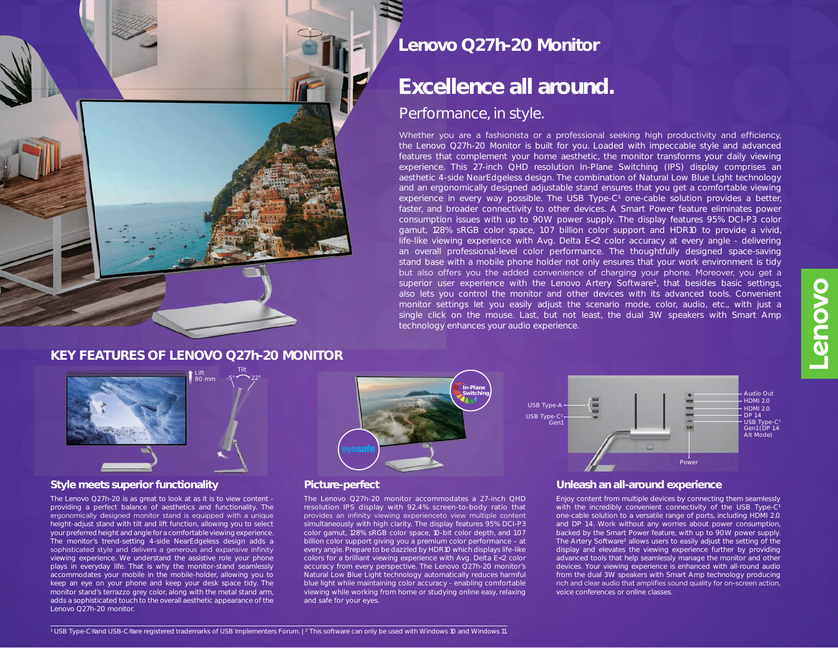# **Lenovo Q27h-20 Monitor**

# **Excellence all around.**

## Performance, in style.

Whether you are a fashionista or a professional seeking high productivity and efficiency, the Lenovo Q27h-20 Monitor is built for you. Loaded with impeccable style and advanced features that complement your home aesthetic, the monitor transforms your daily viewing experience. This 27-inch QHD resolution In-Plane Switching (IPS) display comprises an aesthetic 4-side NearEdgeless design. The combination of Natural Low Blue Light technology and an ergonomically designed adjustable stand ensures that you get a comfortable viewing experience in every way possible. The USB Type-C<sup>1</sup> one-cable solution provides a better, faster, and broader connectivity to other devices. A Smart Power feature eliminates power consumption issues with up to 90W power supply. The display features 95% DCI-P3 color gamut, 128% sRGB color space, 1.07 billion color support and HDR10 to provide a vivid, life-like viewing experience with Avg. Delta E<2 color accuracy at every angle - delivering an overall professional-level color performance. The thoughtfully designed space-saving stand base with a mobile phone holder not only ensures that your work environment is tidy but also offers you the added convenience of charging your phone. Moreover, you get a superior user experience with the Lenovo Artery Software<sup>2</sup>, that besides basic settings, also lets you control the monitor and other devices with its advanced tools. Convenient monitor settings let you easily adjust the scenario mode, color, audio, etc., with just a single click on the mouse. Last, but not least, the dual 3W speakers with Smart Amp technology enhances your audio experience.

### **KEY FEATURES OF LENOVO Q27h-20 MONITOR**

Tilt



#### **Style meets superior functionality Unleash an all-around experience**

The Lenovo Q27h-20 is as great to look at as it is to view content providing a perfect balance of aesthetics and functionality. The ergonomically designed monitor stand is equipped with a unique height-adjust stand with tilt and lift function, allowing you to select your preferred height and angle for a comfortable viewing experience. The monitor's trend-setting 4-side NearEdgeless design adds a sophisticated style and delivers a generous and expansive infinity viewing experience. We understand the assistive role your phone plays in everyday life. That is why the monitor-stand seamlessly accommodates your mobile in the mobile-holder, allowing you to keep an eye on your phone and keep your desk space tidy. The monitor stand's terrazzo grey color, along with the metal stand arm, adds a sophisticated touch to the overall aesthetic appearance of the Lenovo Q27h-20 monitor.



#### **Picture-perfect**

The Lenovo Q27h-20 monitor accommodates a 27-inch QHD resolution IPS display with 92.4% screen-to-body ratio that provides an infinity viewing experienceto view multiple content simultaneously with high clarity. The display features 95% DCI-P3 color gamut, 128% sRGB color space, 10-bit color depth, and 1.07 billion color support giving you a premium color performance – at every angle. Prepare to be dazzled by HDR10 which displays life-like colors for a brilliant viewing experience with Avg. Delta E<2 color accuracy from every perspective. The Lenovo Q27h-20 monitor's Natural Low Blue Light technology automatically reduces harmful blue light while maintaining color accuracy - enabling comfortable viewing while working from home or studying online easy, relaxing and safe for your eyes.



Enjoy content from multiple devices by connecting them seamlessly with the incredibly convenient connectivity of the USB Type-C<sup>1</sup> one-cable solution to a versatile range of ports, including HDMI 2.0 and DP 1.4. Work without any worries about power consumption, backed by the Smart Power feature, with up to 90W power supply. The Artery Software² allows users to easily adjust the setting of the display and elevates the viewing experience further by providing advanced tools that help seamlessly manage the monitor and other devices. Your viewing experience is enhanced with all-round audio from the dual 3W speakers with Smart Amp technology producing rich and clear audio that amplifies sound quality for on-screen action, voice conferences or online classes.